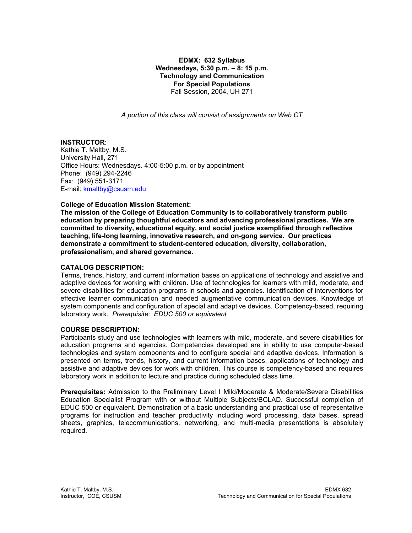**EDMX: 632 Syllabus Wednesdays, 5:30 p.m. – 8: 15 p.m. Technology and Communication For Special Populations**  Fall Session, 2004, UH 271

*A portion of this class will consist of assignments on Web CT* 

#### **INSTRUCTOR**:

Kathie T. Maltby, M.S. University Hall, 271 Office Hours: Wednesdays. 4:00-5:00 p.m. or by appointment Phone: (949) 294-2246 Fax: (949) 551-3171 E-mail: kmaltby@csusm.edu

#### **College of Education Mission Statement:**

**The mission of the College of Education Community is to collaboratively transform public education by preparing thoughtful educators and advancing professional practices. We are committed to diversity, educational equity, and social justice exemplified through reflective teaching, life-long learning, innovative research, and on-gong service. Our practices demonstrate a commitment to student-centered education, diversity, collaboration, professionalism, and shared governance.** 

#### **CATALOG DESCRIPTION:**

Terms, trends, history, and current information bases on applications of technology and assistive and adaptive devices for working with children. Use of technologies for learners with mild, moderate, and severe disabilities for education programs in schools and agencies. Identification of interventions for effective learner communication and needed augmentative communication devices. Knowledge of system components and configuration of special and adaptive devices. Competency-based, requiring laboratory work. *Prerequisite: EDUC 500 or equivalent*

## **COURSE DESCRIPTION:**

Participants study and use technologies with learners with mild, moderate, and severe disabilities for education programs and agencies. Competencies developed are in ability to use computer-based technologies and system components and to configure special and adaptive devices. Information is presented on terms, trends, history, and current information bases, applications of technology and assistive and adaptive devices for work with children. This course is competency-based and requires laboratory work in addition to lecture and practice during scheduled class time.

**Prerequisites:** Admission to the Preliminary Level I Mild/Moderate & Moderate/Severe Disabilities Education Specialist Program with or without Multiple Subjects/BCLAD. Successful completion of EDUC 500 or equivalent. Demonstration of a basic understanding and practical use of representative programs for instruction and teacher productivity including word processing, data bases, spread sheets, graphics, telecommunications, networking, and multi-media presentations is absolutely required.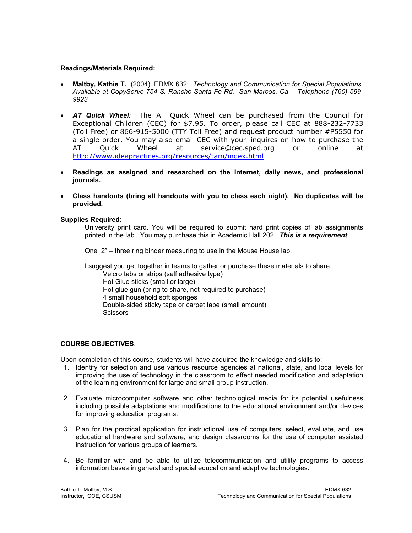### **Readings/Materials Required:**

- **Maltby, Kathie T.** (2004). EDMX 632: *Technology and Communication for Special Populations. Available at CopyServe 754 S. Rancho Santa Fe Rd. San Marcos, Ca Telephone (760) 599- 9923*
- *AT Quick Wheel:* The AT Quick Wheel can be purchased from the Council for Exceptional Children (CEC) for \$7.95. To order, please call CEC at 888-232-7733 (Toll Free) or 866-915-5000 (TTY Toll Free) and request product number #P5550 for a single order. You may also email CEC with your inquires on how to purchase the AT Quick Wheel at service@cec.sped.org or online at http://www.ideapractices.org/resources/tam/index.html
- **Readings as assigned and researched on the Internet, daily news, and professional journals.**
- **Class handouts (bring all handouts with you to class each night). No duplicates will be provided.**

## **Supplies Required:**

University print card. You will be required to submit hard print copies of lab assignments printed in the lab. You may purchase this in Academic Hall 202. *This is a requirement*.

One 2" – three ring binder measuring to use in the Mouse House lab.

I suggest you get together in teams to gather or purchase these materials to share. Velcro tabs or strips (self adhesive type) Hot Glue sticks (small or large) Hot glue gun (bring to share, not required to purchase) 4 small household soft sponges Double-sided sticky tape or carpet tape (small amount) Scissors

# **COURSE OBJECTIVES**:

Upon completion of this course, students will have acquired the knowledge and skills to:

- 1. Identify for selection and use various resource agencies at national, state, and local levels for improving the use of technology in the classroom to effect needed modification and adaptation of the learning environment for large and small group instruction.
- 2. Evaluate microcomputer software and other technological media for its potential usefulness including possible adaptations and modifications to the educational environment and/or devices for improving education programs.
- 3. Plan for the practical application for instructional use of computers; select, evaluate, and use educational hardware and software, and design classrooms for the use of computer assisted instruction for various groups of learners.
- 4. Be familiar with and be able to utilize telecommunication and utility programs to access information bases in general and special education and adaptive technologies.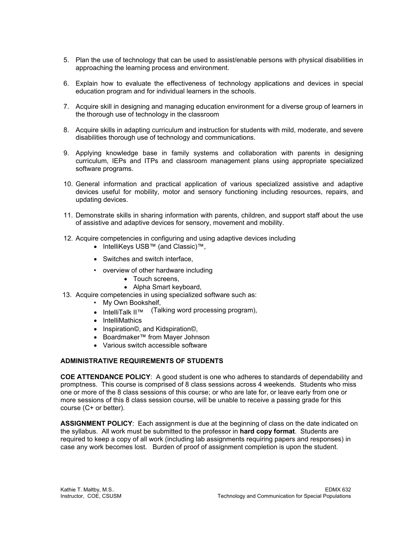- 5. Plan the use of technology that can be used to assist/enable persons with physical disabilities in approaching the learning process and environment.
- 6. Explain how to evaluate the effectiveness of technology applications and devices in special education program and for individual learners in the schools.
- 7. Acquire skill in designing and managing education environment for a diverse group of learners in the thorough use of technology in the classroom
- 8. Acquire skills in adapting curriculum and instruction for students with mild, moderate, and severe disabilities thorough use of technology and communications.
- 9. Applying knowledge base in family systems and collaboration with parents in designing curriculum, IEPs and ITPs and classroom management plans using appropriate specialized software programs.
- 10. General information and practical application of various specialized assistive and adaptive devices useful for mobility, motor and sensory functioning including resources, repairs, and updating devices.
- 11. Demonstrate skills in sharing information with parents, children, and support staff about the use of assistive and adaptive devices for sensory, movement and mobility.
- 12. Acquire competencies in configuring and using adaptive devices including
	- IntelliKeys USB™ (and Classic)™,
	- Switches and switch interface,
	- overview of other hardware including
		- Touch screens,
		- Alpha Smart keyboard,
- 13. Acquire competencies in using specialized software such as:
	- My Own Bookshelf,
	- IntelliTalk II™ (Talking word processing program),
	- IntelliMathics
	- Inspiration©, and Kidspiration©,
	- Boardmaker™ from Mayer Johnson
	- Various switch accessible software

#### **ADMINISTRATIVE REQUIREMENTS OF STUDENTS**

**COE ATTENDANCE POLICY**: A good student is one who adheres to standards of dependability and promptness. This course is comprised of 8 class sessions across 4 weekends. Students who miss one or more of the 8 class sessions of this course; or who are late for, or leave early from one or more sessions of this 8 class session course, will be unable to receive a passing grade for this course (C+ or better).

**ASSIGNMENT POLICY**: Each assignment is due at the beginning of class on the date indicated on the syllabus. All work must be submitted to the professor in **hard copy format**. Students are required to keep a copy of all work (including lab assignments requiring papers and responses) in case any work becomes lost. Burden of proof of assignment completion is upon the student.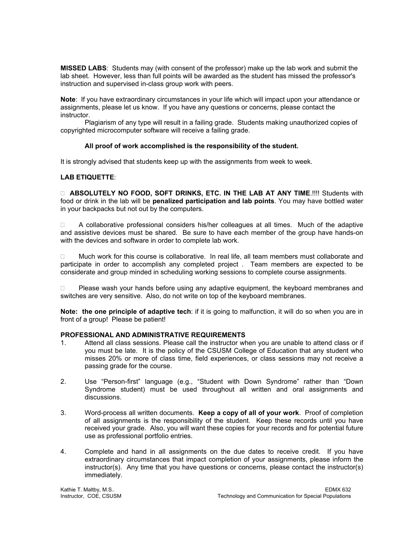**MISSED LABS**: Students may (with consent of the professor) make up the lab work and submit the lab sheet. However, less than full points will be awarded as the student has missed the professor's instruction and supervised in-class group work with peers.

**Note**: If you have extraordinary circumstances in your life which will impact upon your attendance or assignments, please let us know. If you have any questions or concerns, please contact the instructor.

 Plagiarism of any type will result in a failing grade. Students making unauthorized copies of copyrighted microcomputer software will receive a failing grade.

#### **All proof of work accomplished is the responsibility of the student.**

It is strongly advised that students keep up with the assignments from week to week.

## **LAB ETIQUETTE**:

 **ABSOLUTELY NO FOOD, SOFT DRINKS, ETC. IN THE LAB AT ANY TIME**.!!!! Students with food or drink in the lab will be **penalized participation and lab points**. You may have bottled water in your backpacks but not out by the computers.

 $\Box$  A collaborative professional considers his/her colleagues at all times. Much of the adaptive and assistive devices must be shared. Be sure to have each member of the group have hands-on with the devices and software in order to complete lab work.

 $\Box$  Much work for this course is collaborative. In real life, all team members must collaborate and participate in order to accomplish any completed project . Team members are expected to be considerate and group minded in scheduling working sessions to complete course assignments.

 $\Box$  Please wash your hands before using any adaptive equipment, the keyboard membranes and switches are very sensitive. Also, do not write on top of the keyboard membranes.

**Note: the one principle of adaptive tech**: if it is going to malfunction, it will do so when you are in front of a group! Please be patient!

#### **PROFESSIONAL AND ADMINISTRATIVE REQUIREMENTS**

- 1. Attend all class sessions. Please call the instructor when you are unable to attend class or if you must be late. It is the policy of the CSUSM College of Education that any student who misses 20% or more of class time, field experiences, or class sessions may not receive a passing grade for the course.
- 2. Use "Person-first" language (e.g., "Student with Down Syndrome" rather than "Down Syndrome student) must be used throughout all written and oral assignments and discussions.
- 3. Word-process all written documents. **Keep a copy of all of your work**. Proof of completion of all assignments is the responsibility of the student. Keep these records until you have received your grade. Also, you will want these copies for your records and for potential future use as professional portfolio entries.
- 4. Complete and hand in all assignments on the due dates to receive credit. If you have extraordinary circumstances that impact completion of your assignments, please inform the instructor(s). Any time that you have questions or concerns, please contact the instructor(s) immediately.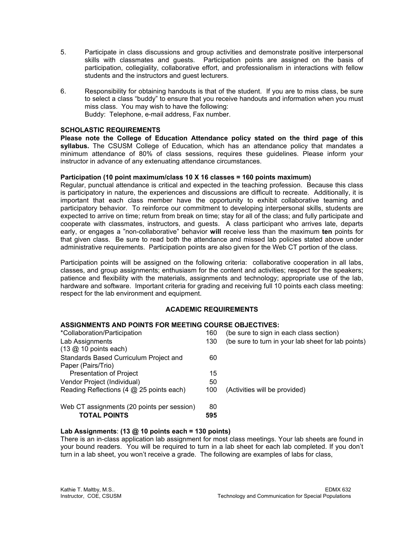- 5. Participate in class discussions and group activities and demonstrate positive interpersonal skills with classmates and guests. Participation points are assigned on the basis of participation, collegiality, collaborative effort, and professionalism in interactions with fellow students and the instructors and guest lecturers.
- 6. Responsibility for obtaining handouts is that of the student. If you are to miss class, be sure to select a class "buddy" to ensure that you receive handouts and information when you must miss class. You may wish to have the following: Buddy: Telephone, e-mail address, Fax number.

### **SCHOLASTIC REQUIREMENTS**

**Please note the College of Education Attendance policy stated on the third page of this syllabus.** The CSUSM College of Education, which has an attendance policy that mandates a minimum attendance of 80% of class sessions, requires these guidelines. Please inform your instructor in advance of any extenuating attendance circumstances.

#### **Participation (10 point maximum/class 10 X 16 classes = 160 points maximum)**

Regular, punctual attendance is critical and expected in the teaching profession. Because this class is participatory in nature, the experiences and discussions are difficult to recreate. Additionally, it is important that each class member have the opportunity to exhibit collaborative teaming and participatory behavior. To reinforce our commitment to developing interpersonal skills, students are expected to arrive on time; return from break on time; stay for all of the class; and fully participate and cooperate with classmates, instructors, and guests. A class participant who arrives late, departs early, or engages a "non-collaborative" behavior **will** receive less than the maximum **ten** points for that given class. Be sure to read both the attendance and missed lab policies stated above under administrative requirements. Participation points are also given for the Web CT portion of the class.

Participation points will be assigned on the following criteria: collaborative cooperation in all labs, classes, and group assignments; enthusiasm for the content and activities; respect for the speakers; patience and flexibility with the materials, assignments and technology; appropriate use of the lab, hardware and software. Important criteria for grading and receiving full 10 points each class meeting: respect for the lab environment and equipment.

## **ACADEMIC REQUIREMENTS**

#### **ASSIGNMENTS AND POINTS FOR MEETING COURSE OBJECTIVES:**

| *Collaboration/Participation                                      | 160       | (be sure to sign in each class section)            |
|-------------------------------------------------------------------|-----------|----------------------------------------------------|
| Lab Assignments                                                   | 130       | (be sure to turn in your lab sheet for lab points) |
| $(13 \n\omega 10 points each)$                                    |           |                                                    |
| Standards Based Curriculum Project and                            | 60        |                                                    |
| Paper (Pairs/Trio)                                                |           |                                                    |
| <b>Presentation of Project</b>                                    | 15        |                                                    |
| Vendor Project (Individual)                                       | 50        |                                                    |
| Reading Reflections (4 @ 25 points each)                          | 100       | (Activities will be provided)                      |
| Web CT assignments (20 points per session)<br><b>TOTAL POINTS</b> | 80<br>595 |                                                    |
|                                                                   |           |                                                    |

#### **Lab Assignments**: **(13 @ 10 points each = 130 points)**

There is an in-class application lab assignment for most class meetings. Your lab sheets are found in your bound readers. You will be required to turn in a lab sheet for each lab completed. If you don't turn in a lab sheet, you won't receive a grade. The following are examples of labs for class,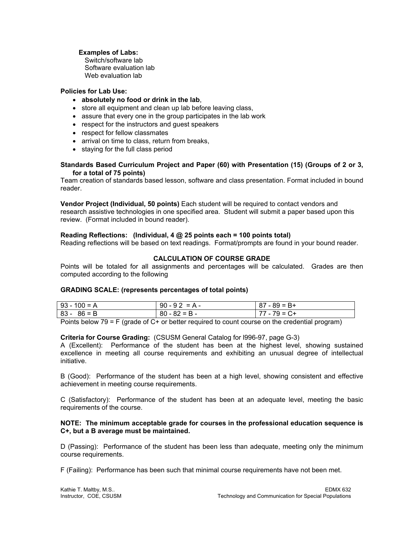## **Examples of Labs:**

 Switch/software lab Software evaluation lab Web evaluation lab

## **Policies for Lab Use:**

## • **absolutely no food or drink in the lab**,

- store all equipment and clean up lab before leaving class,
- assure that every one in the group participates in the lab work
- respect for the instructors and guest speakers
- respect for fellow classmates
- arrival on time to class, return from breaks,
- staying for the full class period

#### **Standards Based Curriculum Project and Paper (60) with Presentation (15) (Groups of 2 or 3, for a total of 75 points)**

Team creation of standards based lesson, software and class presentation. Format included in bound reader.

**Vendor Project (Individual, 50 points)** Each student will be required to contact vendors and research assistive technologies in one specified area. Student will submit a paper based upon this review. (Format included in bound reader).

## **Reading Reflections: (Individual, 4 @ 25 points each = 100 points total)**

Reading reflections will be based on text readings. Format/prompts are found in your bound reader.

## **CALCULATION OF COURSE GRADE**

Points will be totaled for all assignments and percentages will be calculated. Grades are then computed according to the following

#### **GRADING SCALE: (represents percentages of total points)**

| $93 - 100 = A$ | $90 - 92 = A -$ | $87 - 89 = B +$ |
|----------------|-----------------|-----------------|
| $83 - 86 = B$  | $80 - 82 = B -$ | $77 - 79 = C +$ |

Points below 79 = F (grade of C+ or better required to count course on the credential program)

#### **Criteria for Course Grading:** (CSUSM General Catalog for l996-97, page G-3)

A (Excellent): Performance of the student has been at the highest level, showing sustained excellence in meeting all course requirements and exhibiting an unusual degree of intellectual initiative.

B (Good): Performance of the student has been at a high level, showing consistent and effective achievement in meeting course requirements.

C (Satisfactory): Performance of the student has been at an adequate level, meeting the basic requirements of the course.

#### **NOTE: The minimum acceptable grade for courses in the professional education sequence is C+, but a B average must be maintained.**

D (Passing): Performance of the student has been less than adequate, meeting only the minimum course requirements.

F (Failing): Performance has been such that minimal course requirements have not been met.